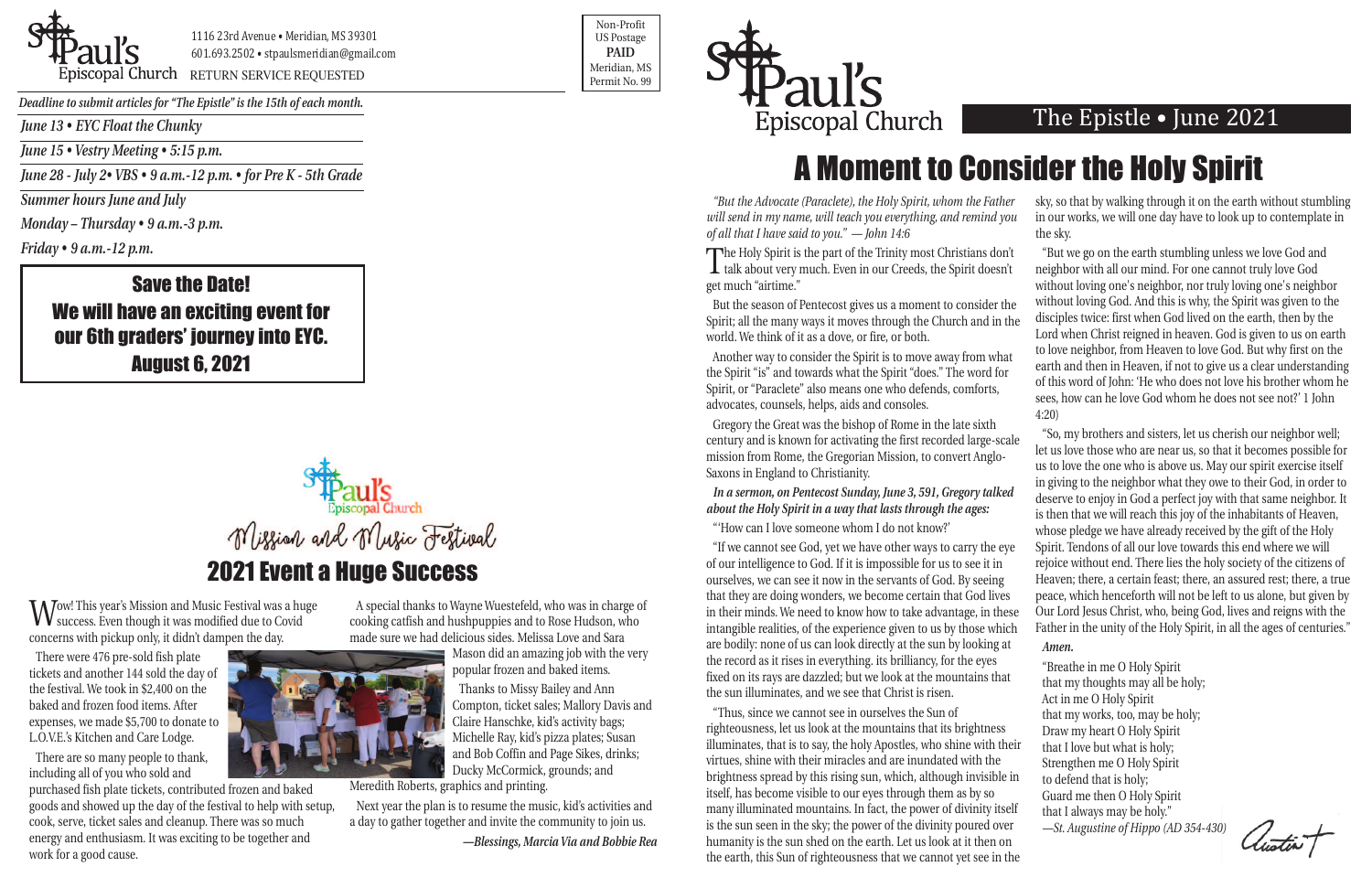*June 13 • EYC Float the Chunky*

*June 15 • Vestry Meeting • 5:15 p.m.*

*June 28 - July 2• VBS • 9 a.m.-12 p.m. • for Pre K - 5th Grade* 

*Summer hours June and July*

*Monday – Thursday • 9 a.m.-3 p.m.*

*Friday • 9 a.m.-12 p.m.*

1116 23rd Avenue • Meridian, MS 39301 601.693.2502 • stpaulsmeridian@gmail.com

Priscopal Church RETURN SERVICE REQUESTED Research of the permit No. 99

Non-Profit US Postage **PAID** Meridian, MS



Wow! This year's Mission and Music Festival was a huge<br>Success. Even though it was modified due to Covid concerns with pickup only, it didn't dampen the day.

*Deadline to submit articles for "The Epistle" is the 15th of each month.* 

## The Epistle • June 2021

### Save the Date! We will have an exciting event for our 6th graders' journey into EYC. August 6, 2021

There were 476 pre-sold fish plate tickets and another 144 sold the day of the festival. We took in \$2,400 on the baked and frozen food items. After expenses, we made \$5,700 to donate to L.O.V.E.'s Kitchen and Care Lodge.

There are so many people to thank, including all of you who sold and

"But the Advocate (Paraclete), the Holy Spirit, whom the Fathe *will send in my name, will teach you everything, and remind you of all that I have said to you." — John 14:6*

purchased fish plate tickets, contributed frozen and baked goods and showed up the day of the festival to help with setup, cook, serve, ticket sales and cleanup. There was so much energy and enthusiasm. It was exciting to be together and work for a good cause.

But the season of Pentecost gives us a moment to consider the Spirit; all the many ways it moves through the Church and in world. We think of it as a dove, or fire, or both.

Another way to consider the Spirit is to move away from what the Spirit "is" and towards what the Spirit "does." The word for Spirit, or "Paraclete" also means one who defends, comforts, advocates, counsels, helps, aids and consoles.

A special thanks to Wayne Wuestefeld, who was in charge of cooking catfish and hushpuppies and to Rose Hudson, who made sure we had delicious sides. Melissa Love and Sara

> Mason did an amazing job with the very popular frozen and baked items.

*In a sermon, on Pentecost Sunday, June 3, 591, Gregory talked about the Holy Spirit in a way that lasts through the ages:*

Thanks to Missy Bailey and Ann Compton, ticket sales; Mallory Davis and Claire Hanschke, kid's activity bags; Michelle Ray, kid's pizza plates; Susan and Bob Coffin and Page Sikes, drinks; Ducky McCormick, grounds; and

Meredith Roberts, graphics and printing.

"If we cannot see God, yet we have other ways to carry the ey of our intelligence to God. If it is impossible for us to see it in ourselves, we can see it now in the servants of God. By seeing that they are doing wonders, we become certain that God lives in their minds. We need to know how to take advantage, in the intangible realities, of the experience given to us by those which are bodily: none of us can look directly at the sun by looking a the record as it rises in everything. its brilliancy, for the eyes fixed on its rays are dazzled; but we look at the mountains that the sun illuminates, and we see that Christ is risen.

"Thus, since we cannot see in ourselves the Sun of righteousness, let us look at the mountains that its brightness illuminates, that is to say, the holy Apostles, who shine with the virtues, shine with their miracles and are inundated with the brightness spread by this rising sun, which, although invisible itself, has become visible to our eyes through them as by so many illuminated mountains. In fact, the power of divinity itself is the sun seen in the sky; the power of the divinity poured over humanity is the sun shed on the earth. Let us look at it then on the earth, this Sun of righteousness that we cannot yet see in



Next year the plan is to resume the music, kid's activities and a day to gather together and invite the community to join us.

*—Blessings, Marcia Via and Bobbie Rea*

The Holy Spirit is the part of the Trinity most Christians don't talk about very much. Even in our Creeds, the Spirit doesn't get much "airtime."

Gregory the Great was the bishop of Rome in the late sixth century and is known for activating the first recorded large-scale mission from Rome, the Gregorian Mission, to convert Anglo-Saxons in England to Christianity.

"'How can I love someone whom I do not know?'

| er<br>ou   | sky, so that by walking through it on the earth without stumbling<br>in our works, we will one day have to look up to contemplate in                                                                                                                                           |
|------------|--------------------------------------------------------------------------------------------------------------------------------------------------------------------------------------------------------------------------------------------------------------------------------|
|            | the sky.                                                                                                                                                                                                                                                                       |
| ı'n<br>ı't | "But we go on the earth stumbling unless we love God and<br>neighbor with all our mind. For one cannot truly love God<br>without loving one's neighbor, nor truly loving one's neighbor                                                                                        |
| he<br>the  | without loving God. And this is why, the Spirit was given to the<br>disciples twice: first when God lived on the earth, then by the<br>Lord when Christ reigned in heaven. God is given to us on earth                                                                         |
| at<br>r    | to love neighbor, from Heaven to love God. But why first on the<br>earth and then in Heaven, if not to give us a clear understanding<br>of this word of John: 'He who does not love his brother whom he<br>sees, how can he love God whom he does not see not?' 1 John<br>4:20 |
| ale        | "So, my brothers and sisters, let us cherish our neighbor well;<br>let us love those who are near us, so that it becomes possible for<br>us to love the one who is above us. May our spirit exercise itself                                                                    |
| гd         | in giving to the neighbor what they owe to their God, in order to<br>deserve to enjoy in God a perfect joy with that same neighbor. It                                                                                                                                         |
|            | is then that we will reach this joy of the inhabitants of Heaven,<br>whose pledge we have already received by the gift of the Holy                                                                                                                                             |
| ye         | Spirit. Tendons of all our love towards this end where we will<br>rejoice without end. There lies the holy society of the citizens of                                                                                                                                          |
| S          | Heaven; there, a certain feast; there, an assured rest; there, a true<br>peace, which henceforth will not be left to us alone, but given by                                                                                                                                    |
| ese<br>ch  | Our Lord Jesus Christ, who, being God, lives and reigns with the<br>Father in the unity of the Holy Spirit, in all the ages of centuries."                                                                                                                                     |
| ıt         | Amen.                                                                                                                                                                                                                                                                          |
| ıt         | "Breathe in me O Holy Spirit<br>that my thoughts may all be holy;<br>Act in me O Holy Spirit                                                                                                                                                                                   |
|            | that my works, too, may be holy;                                                                                                                                                                                                                                               |
| ıeir       | Draw my heart O Holy Spirit                                                                                                                                                                                                                                                    |
|            | that I love but what is holy;<br>Strengthen me O Holy Spirit                                                                                                                                                                                                                   |
| e in       | to defend that is holy;                                                                                                                                                                                                                                                        |
|            | Guard me then O Holy Spirit                                                                                                                                                                                                                                                    |
| elf<br>er  | that I always may be holy."<br>-St. Augustine of Hippo (AD 354-430)                                                                                                                                                                                                            |
| n<br>the   | Austin F                                                                                                                                                                                                                                                                       |
|            |                                                                                                                                                                                                                                                                                |



# A Moment to Consider the Holy Spirit